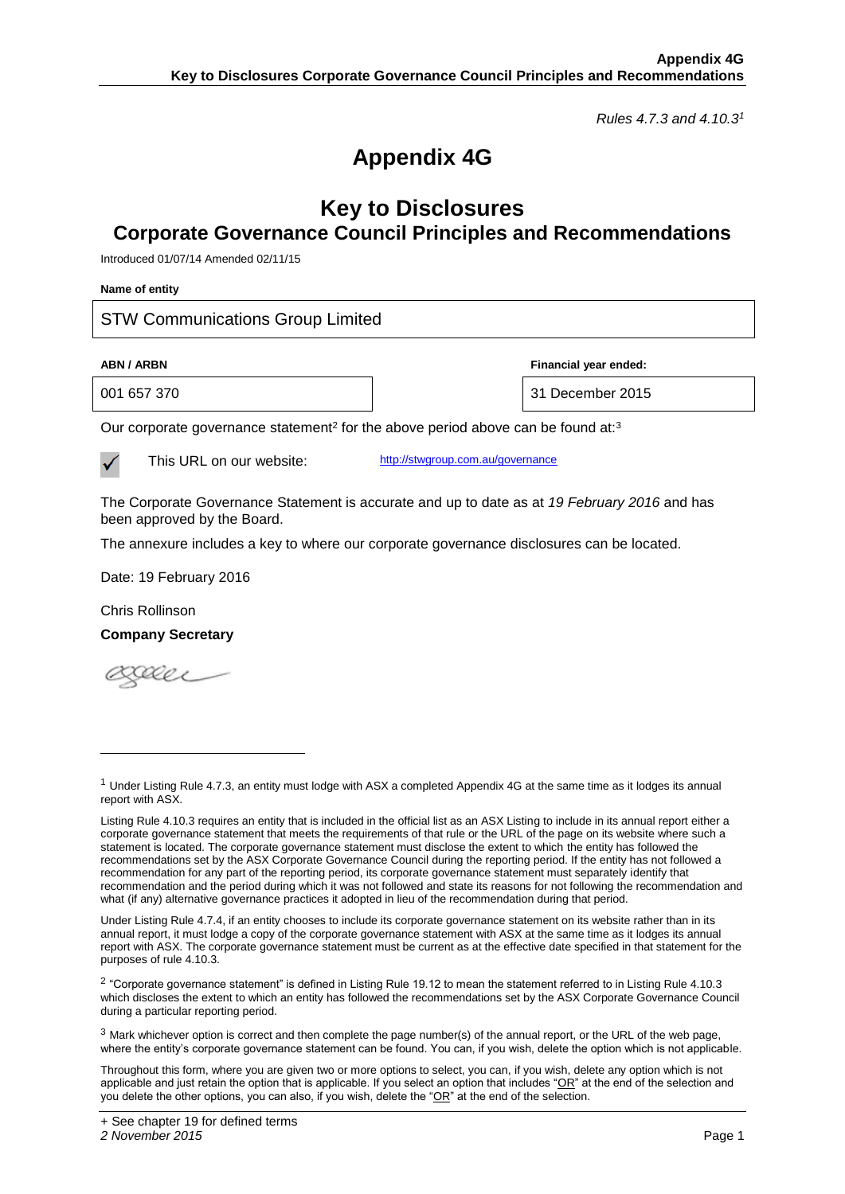*Rules 4.7.3 and 4.10.3<sup>1</sup>*

## **Appendix 4G**

## **Key to Disclosures Corporate Governance Council Principles and Recommendations**

Introduced 01/07/14 Amended 02/11/15

| Name of entity                                                                                                              |                  |  |  |  |
|-----------------------------------------------------------------------------------------------------------------------------|------------------|--|--|--|
| <b>STW Communications Group Limited</b>                                                                                     |                  |  |  |  |
| Financial year ended:<br><b>ABN / ARBN</b>                                                                                  |                  |  |  |  |
| 001 657 370                                                                                                                 | 31 December 2015 |  |  |  |
| Our corporate governance statement <sup>2</sup> for the above period above can be found at: <sup>3</sup>                    |                  |  |  |  |
| http://stwgroup.com.au/governance<br>This URL on our website:                                                               |                  |  |  |  |
| The Corporate Governance Statement is accurate and up to date as at 19 February 2016 and has<br>been approved by the Board. |                  |  |  |  |
| The annexure includes a key to where our corporate governance disclosures can be located.                                   |                  |  |  |  |
| Date: 19 February 2016                                                                                                      |                  |  |  |  |
| Chris Rollinson                                                                                                             |                  |  |  |  |
| <b>Company Secretary</b>                                                                                                    |                  |  |  |  |
|                                                                                                                             |                  |  |  |  |
|                                                                                                                             |                  |  |  |  |

l

<sup>&</sup>lt;sup>1</sup> Under Listing Rule 4.7.3, an entity must lodge with ASX a completed Appendix 4G at the same time as it lodges its annual report with ASX.

Listing Rule 4.10.3 requires an entity that is included in the official list as an ASX Listing to include in its annual report either a corporate governance statement that meets the requirements of that rule or the URL of the page on its website where such a statement is located. The corporate governance statement must disclose the extent to which the entity has followed the recommendations set by the ASX Corporate Governance Council during the reporting period. If the entity has not followed a recommendation for any part of the reporting period, its corporate governance statement must separately identify that recommendation and the period during which it was not followed and state its reasons for not following the recommendation and what (if any) alternative governance practices it adopted in lieu of the recommendation during that period.

Under Listing Rule 4.7.4, if an entity chooses to include its corporate governance statement on its website rather than in its annual report, it must lodge a copy of the corporate governance statement with ASX at the same time as it lodges its annual report with ASX. The corporate governance statement must be current as at the effective date specified in that statement for the purposes of rule 4.10.3.

<sup>&</sup>lt;sup>2</sup> "Corporate governance statement" is defined in Listing Rule 19.12 to mean the statement referred to in Listing Rule 4.10.3 which discloses the extent to which an entity has followed the recommendations set by the ASX Corporate Governance Council during a particular reporting period.

 $3$  Mark whichever option is correct and then complete the page number(s) of the annual report, or the URL of the web page, where the entity's corporate governance statement can be found. You can, if you wish, delete the option which is not applicable.

Throughout this form, where you are given two or more options to select, you can, if you wish, delete any option which is not applicable and just retain the option that is applicable. If you select an option that includes " $OR$ " at the end of the selection and you delete the other options, you can also, if you wish, delete the "OR" at the end of the selection.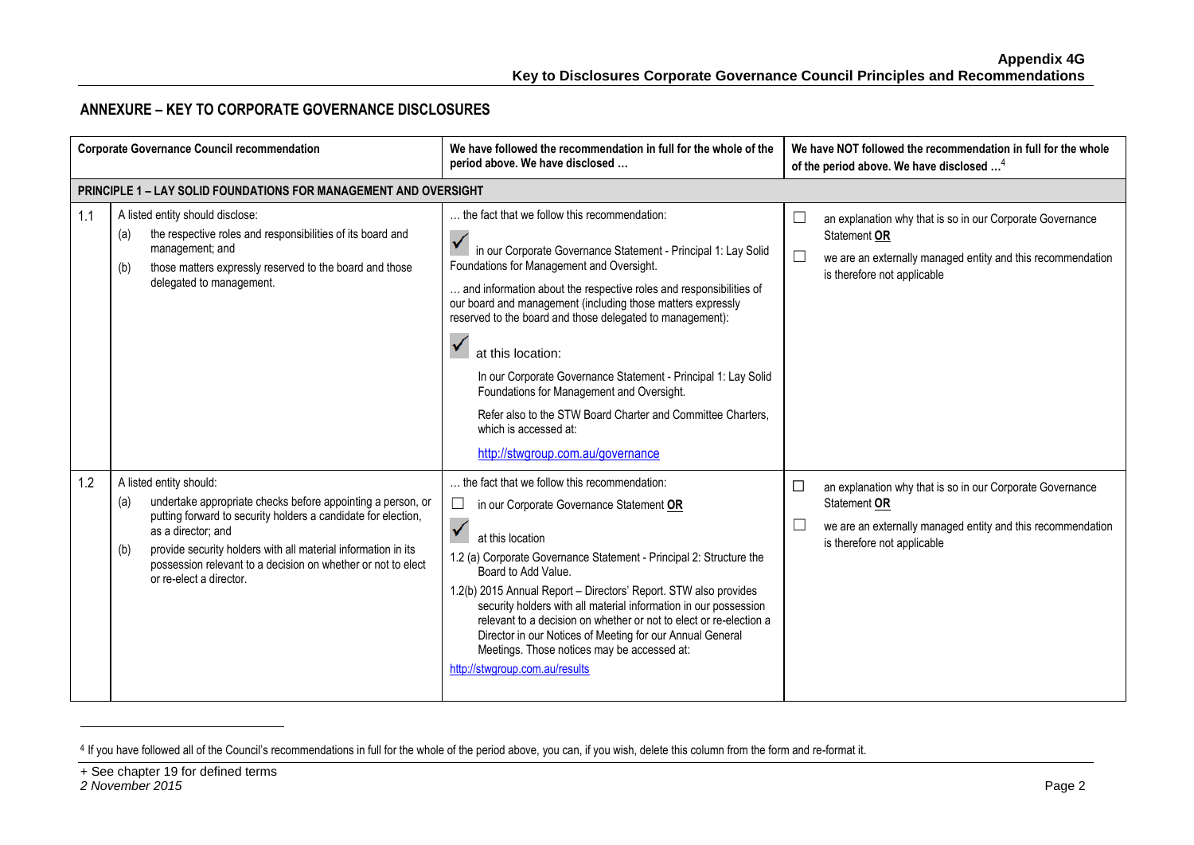## **ANNEXURE – KEY TO CORPORATE GOVERNANCE DISCLOSURES**

|     | <b>Corporate Governance Council recommendation</b>                                                                                                                                                                                                                                                                                                      | We have followed the recommendation in full for the whole of the<br>period above. We have disclosed                                                                                                                                                                                                                                                                                                                                                                                                                                                                                                                            | We have NOT followed the recommendation in full for the whole<br>of the period above. We have disclosed <sup>4</sup>                                                              |
|-----|---------------------------------------------------------------------------------------------------------------------------------------------------------------------------------------------------------------------------------------------------------------------------------------------------------------------------------------------------------|--------------------------------------------------------------------------------------------------------------------------------------------------------------------------------------------------------------------------------------------------------------------------------------------------------------------------------------------------------------------------------------------------------------------------------------------------------------------------------------------------------------------------------------------------------------------------------------------------------------------------------|-----------------------------------------------------------------------------------------------------------------------------------------------------------------------------------|
|     | PRINCIPLE 1 - LAY SOLID FOUNDATIONS FOR MANAGEMENT AND OVERSIGHT                                                                                                                                                                                                                                                                                        |                                                                                                                                                                                                                                                                                                                                                                                                                                                                                                                                                                                                                                |                                                                                                                                                                                   |
| 1.1 | A listed entity should disclose:<br>the respective roles and responsibilities of its board and<br>(a)<br>management; and<br>those matters expressly reserved to the board and those<br>(b)<br>delegated to management.                                                                                                                                  | the fact that we follow this recommendation:<br>in our Corporate Governance Statement - Principal 1: Lay Solid<br>Foundations for Management and Oversight.<br>and information about the respective roles and responsibilities of<br>our board and management (including those matters expressly<br>reserved to the board and those delegated to management):<br>at this location:<br>In our Corporate Governance Statement - Principal 1: Lay Solid<br>Foundations for Management and Oversight.<br>Refer also to the STW Board Charter and Committee Charters,<br>which is accessed at:<br>http://stwgroup.com.au/governance | an explanation why that is so in our Corporate Governance<br>Statement OR<br>L<br>we are an externally managed entity and this recommendation<br>is therefore not applicable      |
| 1.2 | A listed entity should:<br>undertake appropriate checks before appointing a person, or<br>(a)<br>putting forward to security holders a candidate for election,<br>as a director: and<br>provide security holders with all material information in its<br>(b)<br>possession relevant to a decision on whether or not to elect<br>or re-elect a director. | the fact that we follow this recommendation:<br>$\Box$<br>in our Corporate Governance Statement OR<br>$\checkmark$<br>at this location<br>1.2 (a) Corporate Governance Statement - Principal 2: Structure the<br>Board to Add Value.<br>1.2(b) 2015 Annual Report - Directors' Report. STW also provides<br>security holders with all material information in our possession<br>relevant to a decision on whether or not to elect or re-election a<br>Director in our Notices of Meeting for our Annual General<br>Meetings. Those notices may be accessed at:<br>http://stwgroup.com.au/results                               | $\Box$<br>an explanation why that is so in our Corporate Governance<br>Statement OR<br>we are an externally managed entity and this recommendation<br>is therefore not applicable |

<sup>&</sup>lt;sup>4</sup> If you have followed all of the Council's recommendations in full for the whole of the period above, you can, if you wish, delete this column from the form and re-format it.

-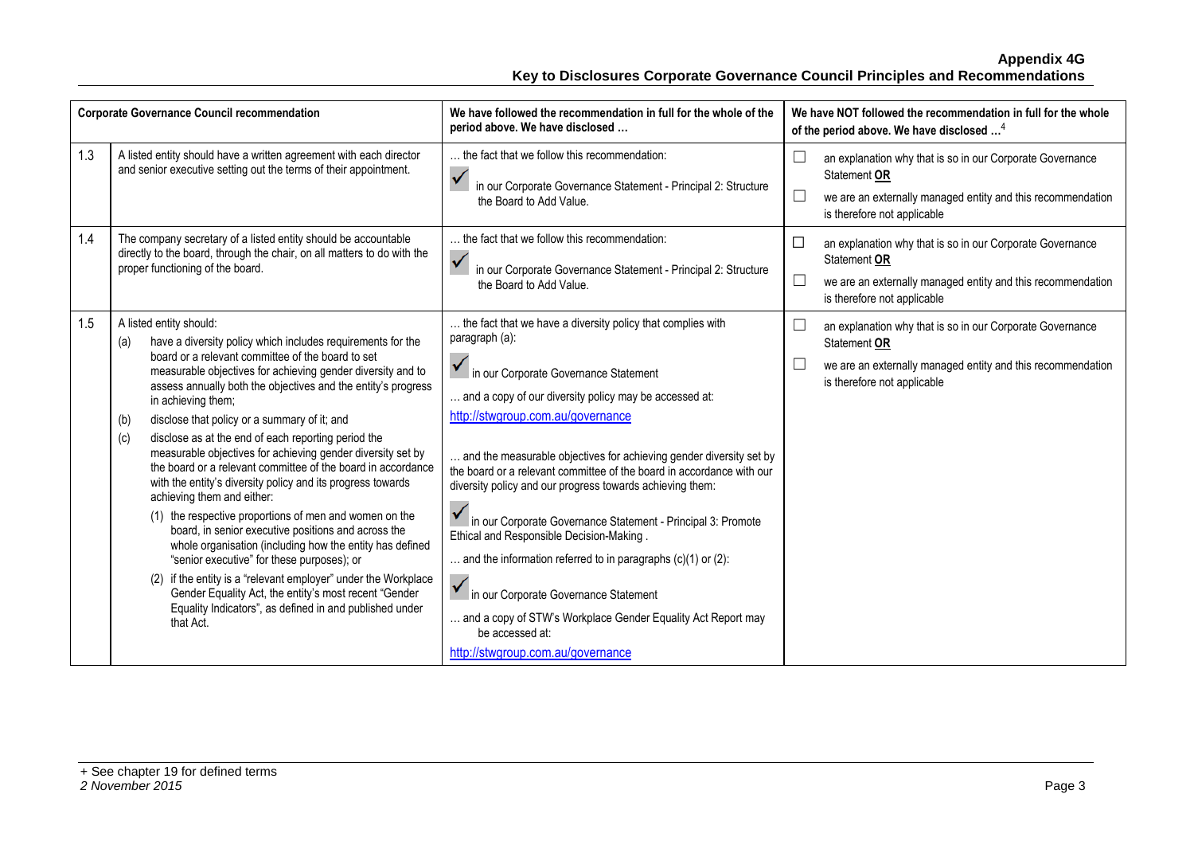|     | <b>Corporate Governance Council recommendation</b>                                                                                                                                                                                                                                                                                                                                                                                                                                                                                                                                                                                                                                                                                                                                                                                                                                                                                                                                                                                                                                      | We have followed the recommendation in full for the whole of the<br>period above. We have disclosed                                                                                                                                                                                                                                                                                                                                                                                                                                                                                                                                                                                                                                                                                  | We have NOT followed the recommendation in full for the whole<br>of the period above. We have disclosed <sup>4</sup>                                                                                          |
|-----|-----------------------------------------------------------------------------------------------------------------------------------------------------------------------------------------------------------------------------------------------------------------------------------------------------------------------------------------------------------------------------------------------------------------------------------------------------------------------------------------------------------------------------------------------------------------------------------------------------------------------------------------------------------------------------------------------------------------------------------------------------------------------------------------------------------------------------------------------------------------------------------------------------------------------------------------------------------------------------------------------------------------------------------------------------------------------------------------|--------------------------------------------------------------------------------------------------------------------------------------------------------------------------------------------------------------------------------------------------------------------------------------------------------------------------------------------------------------------------------------------------------------------------------------------------------------------------------------------------------------------------------------------------------------------------------------------------------------------------------------------------------------------------------------------------------------------------------------------------------------------------------------|---------------------------------------------------------------------------------------------------------------------------------------------------------------------------------------------------------------|
| 1.3 | A listed entity should have a written agreement with each director<br>and senior executive setting out the terms of their appointment.                                                                                                                                                                                                                                                                                                                                                                                                                                                                                                                                                                                                                                                                                                                                                                                                                                                                                                                                                  | the fact that we follow this recommendation:<br>in our Corporate Governance Statement - Principal 2: Structure<br>the Board to Add Value.                                                                                                                                                                                                                                                                                                                                                                                                                                                                                                                                                                                                                                            | an explanation why that is so in our Corporate Governance<br>$\overline{\phantom{a}}$<br>Statement OR<br>$\Box$<br>we are an externally managed entity and this recommendation<br>is therefore not applicable |
| 1.4 | The company secretary of a listed entity should be accountable<br>directly to the board, through the chair, on all matters to do with the<br>proper functioning of the board.                                                                                                                                                                                                                                                                                                                                                                                                                                                                                                                                                                                                                                                                                                                                                                                                                                                                                                           | the fact that we follow this recommendation:<br>$\checkmark$<br>in our Corporate Governance Statement - Principal 2: Structure<br>the Board to Add Value.                                                                                                                                                                                                                                                                                                                                                                                                                                                                                                                                                                                                                            | □<br>an explanation why that is so in our Corporate Governance<br>Statement OR<br>$\Box$<br>we are an externally managed entity and this recommendation<br>is therefore not applicable                        |
| 1.5 | A listed entity should:<br>have a diversity policy which includes requirements for the<br>(a)<br>board or a relevant committee of the board to set<br>measurable objectives for achieving gender diversity and to<br>assess annually both the objectives and the entity's progress<br>in achieving them;<br>disclose that policy or a summary of it; and<br>(b)<br>disclose as at the end of each reporting period the<br>(c)<br>measurable objectives for achieving gender diversity set by<br>the board or a relevant committee of the board in accordance<br>with the entity's diversity policy and its progress towards<br>achieving them and either:<br>(1) the respective proportions of men and women on the<br>board, in senior executive positions and across the<br>whole organisation (including how the entity has defined<br>"senior executive" for these purposes); or<br>(2) if the entity is a "relevant employer" under the Workplace<br>Gender Equality Act, the entity's most recent "Gender<br>Equality Indicators", as defined in and published under<br>that Act. | the fact that we have a diversity policy that complies with<br>paragraph (a):<br>in our Corporate Governance Statement<br>and a copy of our diversity policy may be accessed at:<br>http://stwgroup.com.au/governance<br>and the measurable objectives for achieving gender diversity set by<br>the board or a relevant committee of the board in accordance with our<br>diversity policy and our progress towards achieving them:<br>In our Corporate Governance Statement - Principal 3: Promote<br>Ethical and Responsible Decision-Making.<br>and the information referred to in paragraphs $(c)(1)$ or $(2)$ :<br>In our Corporate Governance Statement<br>and a copy of STW's Workplace Gender Equality Act Report may<br>be accessed at:<br>http://stwgroup.com.au/governance | └<br>an explanation why that is so in our Corporate Governance<br>Statement OR<br>we are an externally managed entity and this recommendation<br>is therefore not applicable                                  |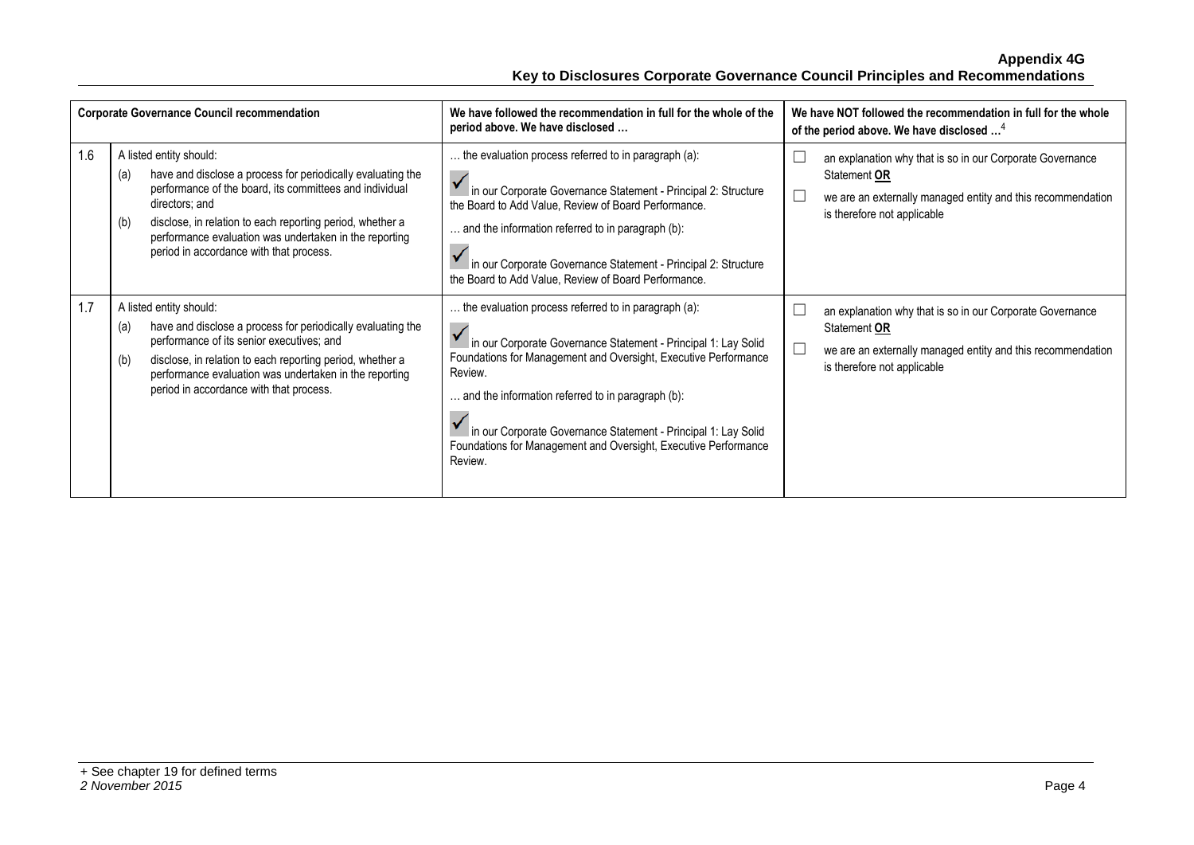|     | <b>Corporate Governance Council recommendation</b>                                                                                                                                                                                                                                                                                                  | We have followed the recommendation in full for the whole of the<br>period above. We have disclosed                                                                                                                                                                                                                                                                                                       | We have NOT followed the recommendation in full for the whole<br>of the period above. We have disclosed <sup>4</sup>                                                    |
|-----|-----------------------------------------------------------------------------------------------------------------------------------------------------------------------------------------------------------------------------------------------------------------------------------------------------------------------------------------------------|-----------------------------------------------------------------------------------------------------------------------------------------------------------------------------------------------------------------------------------------------------------------------------------------------------------------------------------------------------------------------------------------------------------|-------------------------------------------------------------------------------------------------------------------------------------------------------------------------|
| 1.6 | A listed entity should:<br>have and disclose a process for periodically evaluating the<br>(a)<br>performance of the board, its committees and individual<br>directors; and<br>disclose, in relation to each reporting period, whether a<br>(b)<br>performance evaluation was undertaken in the reporting<br>period in accordance with that process. | the evaluation process referred to in paragraph (a):<br>in our Corporate Governance Statement - Principal 2: Structure<br>the Board to Add Value, Review of Board Performance.<br>and the information referred to in paragraph (b):<br>in our Corporate Governance Statement - Principal 2: Structure<br>the Board to Add Value, Review of Board Performance.                                             | an explanation why that is so in our Corporate Governance<br>Statement OR<br>we are an externally managed entity and this recommendation<br>is therefore not applicable |
| 1.7 | A listed entity should:<br>have and disclose a process for periodically evaluating the<br>(a)<br>performance of its senior executives; and<br>disclose, in relation to each reporting period, whether a<br>(b)<br>performance evaluation was undertaken in the reporting<br>period in accordance with that process.                                 | the evaluation process referred to in paragraph (a):<br>in our Corporate Governance Statement - Principal 1: Lay Solid<br>Foundations for Management and Oversight, Executive Performance<br>Review.<br>and the information referred to in paragraph (b):<br>in our Corporate Governance Statement - Principal 1: Lay Solid<br>Foundations for Management and Oversight, Executive Performance<br>Review. | an explanation why that is so in our Corporate Governance<br>Statement OR<br>we are an externally managed entity and this recommendation<br>is therefore not applicable |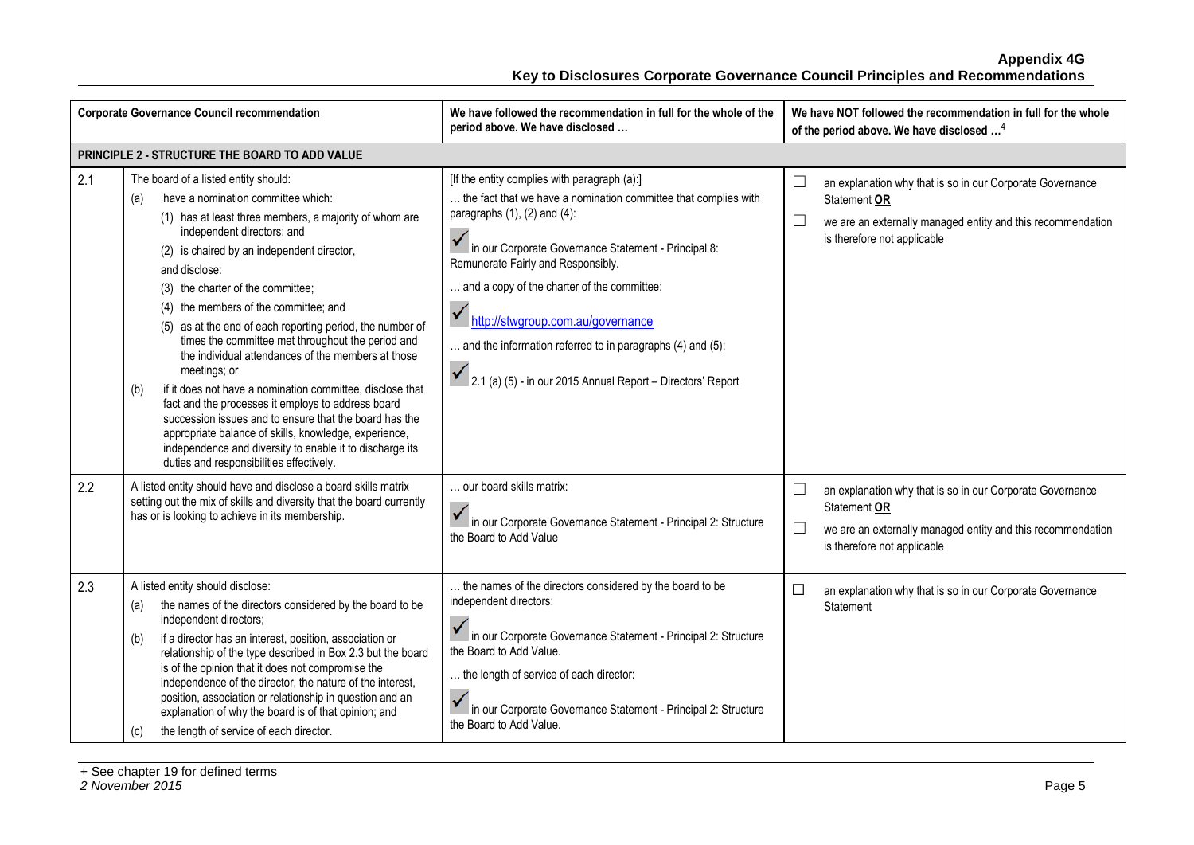|     | <b>Corporate Governance Council recommendation</b>                                                                                                                                                                                                                                                                                                                                                                                                                                                                                                                                                                                                                                                                                                                                                                                                                  | We have followed the recommendation in full for the whole of the<br>period above. We have disclosed                                                                                                                                                                                                                                                                                                                                                                                    | We have NOT followed the recommendation in full for the whole<br>of the period above. We have disclosed <sup>4</sup>                                                                        |
|-----|---------------------------------------------------------------------------------------------------------------------------------------------------------------------------------------------------------------------------------------------------------------------------------------------------------------------------------------------------------------------------------------------------------------------------------------------------------------------------------------------------------------------------------------------------------------------------------------------------------------------------------------------------------------------------------------------------------------------------------------------------------------------------------------------------------------------------------------------------------------------|----------------------------------------------------------------------------------------------------------------------------------------------------------------------------------------------------------------------------------------------------------------------------------------------------------------------------------------------------------------------------------------------------------------------------------------------------------------------------------------|---------------------------------------------------------------------------------------------------------------------------------------------------------------------------------------------|
|     | PRINCIPLE 2 - STRUCTURE THE BOARD TO ADD VALUE                                                                                                                                                                                                                                                                                                                                                                                                                                                                                                                                                                                                                                                                                                                                                                                                                      |                                                                                                                                                                                                                                                                                                                                                                                                                                                                                        |                                                                                                                                                                                             |
| 2.1 | The board of a listed entity should:<br>have a nomination committee which:<br>(a)<br>(1) has at least three members, a majority of whom are<br>independent directors; and<br>(2) is chaired by an independent director,<br>and disclose:<br>(3) the charter of the committee;<br>(4) the members of the committee; and<br>(5) as at the end of each reporting period, the number of<br>times the committee met throughout the period and<br>the individual attendances of the members at those<br>meetings; or<br>if it does not have a nomination committee, disclose that<br>(b)<br>fact and the processes it employs to address board<br>succession issues and to ensure that the board has the<br>appropriate balance of skills, knowledge, experience,<br>independence and diversity to enable it to discharge its<br>duties and responsibilities effectively. | [If the entity complies with paragraph (a):]<br>the fact that we have a nomination committee that complies with<br>paragraphs $(1)$ , $(2)$ and $(4)$ :<br>In our Corporate Governance Statement - Principal 8:<br>Remunerate Fairly and Responsibly.<br>and a copy of the charter of the committee:<br>$\checkmark$<br>http://stwgroup.com.au/governance<br>and the information referred to in paragraphs (4) and (5):<br>2.1 (a) (5) - in our 2015 Annual Report - Directors' Report | an explanation why that is so in our Corporate Governance<br>└<br>Statement OR<br>$\Box$<br>we are an externally managed entity and this recommendation<br>is therefore not applicable      |
| 2.2 | A listed entity should have and disclose a board skills matrix<br>setting out the mix of skills and diversity that the board currently<br>has or is looking to achieve in its membership.                                                                                                                                                                                                                                                                                                                                                                                                                                                                                                                                                                                                                                                                           | our board skills matrix:<br>in our Corporate Governance Statement - Principal 2: Structure<br>the Board to Add Value                                                                                                                                                                                                                                                                                                                                                                   | $\Box$<br>an explanation why that is so in our Corporate Governance<br>Statement OR<br>$\Box$<br>we are an externally managed entity and this recommendation<br>is therefore not applicable |
| 2.3 | A listed entity should disclose:<br>the names of the directors considered by the board to be<br>(a)<br>independent directors;<br>if a director has an interest, position, association or<br>(b)<br>relationship of the type described in Box 2.3 but the board<br>is of the opinion that it does not compromise the<br>independence of the director, the nature of the interest,<br>position, association or relationship in question and an<br>explanation of why the board is of that opinion; and<br>the length of service of each director.<br>(c)                                                                                                                                                                                                                                                                                                              | the names of the directors considered by the board to be<br>independent directors:<br>in our Corporate Governance Statement - Principal 2: Structure<br>the Board to Add Value.<br>the length of service of each director:<br>in our Corporate Governance Statement - Principal 2: Structure<br>the Board to Add Value.                                                                                                                                                                | □<br>an explanation why that is so in our Corporate Governance<br>Statement                                                                                                                 |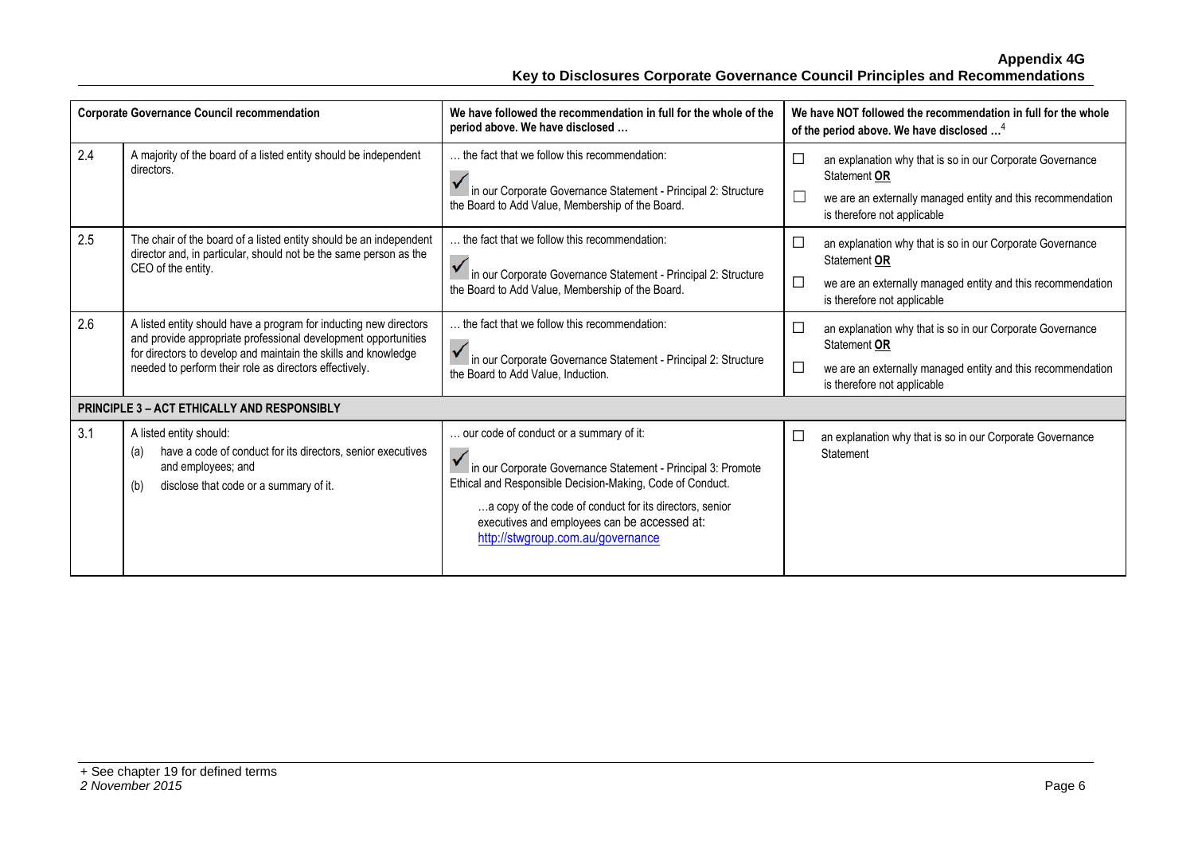| <b>Corporate Governance Council recommendation</b> |                                                                                                                                                                                                                                                                 | We have followed the recommendation in full for the whole of the<br>period above. We have disclosed                                                                                                                                                                                                                  | We have NOT followed the recommendation in full for the whole<br>of the period above. We have disclosed <sup>4</sup>                                                                                |
|----------------------------------------------------|-----------------------------------------------------------------------------------------------------------------------------------------------------------------------------------------------------------------------------------------------------------------|----------------------------------------------------------------------------------------------------------------------------------------------------------------------------------------------------------------------------------------------------------------------------------------------------------------------|-----------------------------------------------------------------------------------------------------------------------------------------------------------------------------------------------------|
| 2.4                                                | A majority of the board of a listed entity should be independent<br>directors.                                                                                                                                                                                  | the fact that we follow this recommendation:<br>in our Corporate Governance Statement - Principal 2: Structure<br>the Board to Add Value, Membership of the Board.                                                                                                                                                   | an explanation why that is so in our Corporate Governance<br>Statement OR<br>we are an externally managed entity and this recommendation<br>is therefore not applicable                             |
| 2.5                                                | The chair of the board of a listed entity should be an independent<br>director and, in particular, should not be the same person as the<br>CEO of the entity.                                                                                                   | the fact that we follow this recommendation:<br>in our Corporate Governance Statement - Principal 2: Structure<br>the Board to Add Value, Membership of the Board.                                                                                                                                                   | an explanation why that is so in our Corporate Governance<br>$\overline{\phantom{a}}$<br>Statement OR<br>we are an externally managed entity and this recommendation<br>is therefore not applicable |
| 2.6                                                | A listed entity should have a program for inducting new directors<br>and provide appropriate professional development opportunities<br>for directors to develop and maintain the skills and knowledge<br>needed to perform their role as directors effectively. | the fact that we follow this recommendation:<br>in our Corporate Governance Statement - Principal 2: Structure<br>the Board to Add Value, Induction.                                                                                                                                                                 | an explanation why that is so in our Corporate Governance<br>$\Box$<br>Statement OR<br>$\Box$<br>we are an externally managed entity and this recommendation<br>is therefore not applicable         |
|                                                    | PRINCIPLE 3 - ACT ETHICALLY AND RESPONSIBLY                                                                                                                                                                                                                     |                                                                                                                                                                                                                                                                                                                      |                                                                                                                                                                                                     |
| 3.1                                                | A listed entity should:<br>have a code of conduct for its directors, senior executives<br>(a)<br>and employees; and<br>disclose that code or a summary of it.<br>(b)                                                                                            | our code of conduct or a summary of it:<br>In our Corporate Governance Statement - Principal 3: Promote<br>Ethical and Responsible Decision-Making, Code of Conduct.<br>a copy of the code of conduct for its directors, senior<br>executives and employees can be accessed at:<br>http://stwgroup.com.au/governance | an explanation why that is so in our Corporate Governance<br>Statement                                                                                                                              |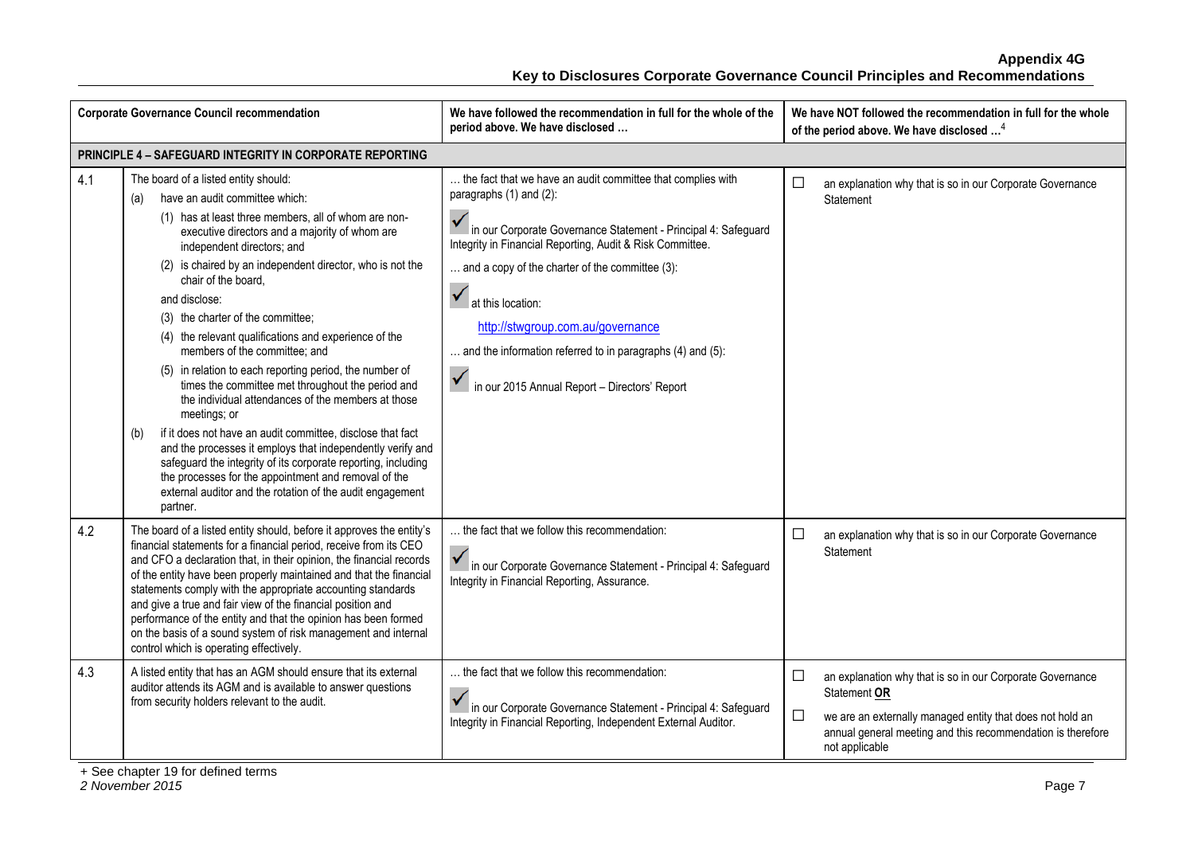|     | <b>Corporate Governance Council recommendation</b>                                                                                                                                                                                                                                                                                                                                                                                                                                                                                                                                                                                                                                                                                                                                                                                                                                                                                                                                   | We have followed the recommendation in full for the whole of the<br>period above. We have disclosed                                                                                                                                                                                                                                                                                                                                               | We have NOT followed the recommendation in full for the whole<br>of the period above. We have disclosed <sup>4</sup>                                                                                                              |
|-----|--------------------------------------------------------------------------------------------------------------------------------------------------------------------------------------------------------------------------------------------------------------------------------------------------------------------------------------------------------------------------------------------------------------------------------------------------------------------------------------------------------------------------------------------------------------------------------------------------------------------------------------------------------------------------------------------------------------------------------------------------------------------------------------------------------------------------------------------------------------------------------------------------------------------------------------------------------------------------------------|---------------------------------------------------------------------------------------------------------------------------------------------------------------------------------------------------------------------------------------------------------------------------------------------------------------------------------------------------------------------------------------------------------------------------------------------------|-----------------------------------------------------------------------------------------------------------------------------------------------------------------------------------------------------------------------------------|
|     | PRINCIPLE 4 - SAFEGUARD INTEGRITY IN CORPORATE REPORTING                                                                                                                                                                                                                                                                                                                                                                                                                                                                                                                                                                                                                                                                                                                                                                                                                                                                                                                             |                                                                                                                                                                                                                                                                                                                                                                                                                                                   |                                                                                                                                                                                                                                   |
| 4.1 | The board of a listed entity should:<br>have an audit committee which:<br>(a)<br>(1) has at least three members, all of whom are non-<br>executive directors and a majority of whom are<br>independent directors; and<br>(2) is chaired by an independent director, who is not the<br>chair of the board.<br>and disclose:<br>(3) the charter of the committee;<br>(4) the relevant qualifications and experience of the<br>members of the committee; and<br>(5) in relation to each reporting period, the number of<br>times the committee met throughout the period and<br>the individual attendances of the members at those<br>meetings; or<br>if it does not have an audit committee, disclose that fact<br>(b)<br>and the processes it employs that independently verify and<br>safeguard the integrity of its corporate reporting, including<br>the processes for the appointment and removal of the<br>external auditor and the rotation of the audit engagement<br>partner. | the fact that we have an audit committee that complies with<br>paragraphs (1) and (2):<br>In our Corporate Governance Statement - Principal 4: Safeguard<br>Integrity in Financial Reporting, Audit & Risk Committee.<br>and a copy of the charter of the committee (3):<br>at this location:<br>http://stwgroup.com.au/governance<br>and the information referred to in paragraphs (4) and (5):<br>in our 2015 Annual Report - Directors' Report | an explanation why that is so in our Corporate Governance<br>$\mathcal{L}_{\mathcal{A}}$<br>Statement                                                                                                                             |
| 4.2 | The board of a listed entity should, before it approves the entity's<br>financial statements for a financial period, receive from its CEO<br>and CFO a declaration that, in their opinion, the financial records<br>of the entity have been properly maintained and that the financial<br>statements comply with the appropriate accounting standards<br>and give a true and fair view of the financial position and<br>performance of the entity and that the opinion has been formed<br>on the basis of a sound system of risk management and internal<br>control which is operating effectively.                                                                                                                                                                                                                                                                                                                                                                                  | the fact that we follow this recommendation:<br>In our Corporate Governance Statement - Principal 4: Safeguard<br>Integrity in Financial Reporting, Assurance.                                                                                                                                                                                                                                                                                    | □<br>an explanation why that is so in our Corporate Governance<br>Statement                                                                                                                                                       |
| 4.3 | A listed entity that has an AGM should ensure that its external<br>auditor attends its AGM and is available to answer questions<br>from security holders relevant to the audit.                                                                                                                                                                                                                                                                                                                                                                                                                                                                                                                                                                                                                                                                                                                                                                                                      | the fact that we follow this recommendation:<br>in our Corporate Governance Statement - Principal 4: Safeguard<br>Integrity in Financial Reporting, Independent External Auditor.                                                                                                                                                                                                                                                                 | □<br>an explanation why that is so in our Corporate Governance<br>Statement OR<br>□<br>we are an externally managed entity that does not hold an<br>annual general meeting and this recommendation is therefore<br>not applicable |

+ See chapter 19 for defined terms *2 November 2015* Page 7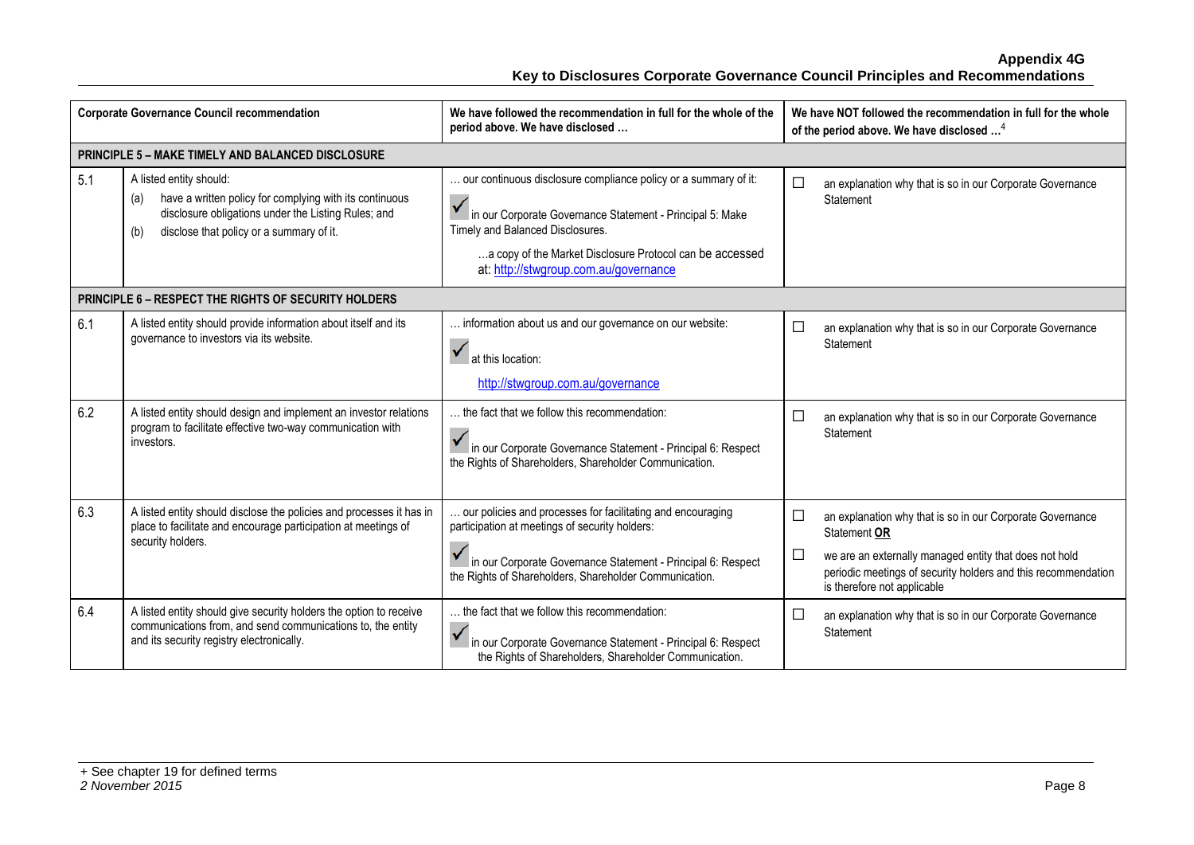|     | <b>Corporate Governance Council recommendation</b>                                                                                                                                           | We have followed the recommendation in full for the whole of the<br>period above. We have disclosed                                                                                                                                                                   |                  | We have NOT followed the recommendation in full for the whole<br>of the period above. We have disclosed <sup>4</sup>                                                                                                                |
|-----|----------------------------------------------------------------------------------------------------------------------------------------------------------------------------------------------|-----------------------------------------------------------------------------------------------------------------------------------------------------------------------------------------------------------------------------------------------------------------------|------------------|-------------------------------------------------------------------------------------------------------------------------------------------------------------------------------------------------------------------------------------|
|     | <b>PRINCIPLE 5 - MAKE TIMELY AND BALANCED DISCLOSURE</b>                                                                                                                                     |                                                                                                                                                                                                                                                                       |                  |                                                                                                                                                                                                                                     |
| 5.1 | A listed entity should:<br>have a written policy for complying with its continuous<br>disclosure obligations under the Listing Rules; and<br>disclose that policy or a summary of it.<br>(b) | our continuous disclosure compliance policy or a summary of it:<br>in our Corporate Governance Statement - Principal 5: Make<br>Timely and Balanced Disclosures.<br>a copy of the Market Disclosure Protocol can be accessed<br>at: http://stwgroup.com.au/governance | $\Box$           | an explanation why that is so in our Corporate Governance<br>Statement                                                                                                                                                              |
|     | <b>PRINCIPLE 6 - RESPECT THE RIGHTS OF SECURITY HOLDERS</b>                                                                                                                                  |                                                                                                                                                                                                                                                                       |                  |                                                                                                                                                                                                                                     |
| 6.1 | A listed entity should provide information about itself and its<br>governance to investors via its website.                                                                                  | information about us and our governance on our website:<br>$\checkmark$<br>at this location:<br>http://stwgroup.com.au/governance                                                                                                                                     | $\Box$           | an explanation why that is so in our Corporate Governance<br>Statement                                                                                                                                                              |
| 6.2 | A listed entity should design and implement an investor relations<br>program to facilitate effective two-way communication with<br>investors.                                                | the fact that we follow this recommendation:<br>in our Corporate Governance Statement - Principal 6: Respect<br>the Rights of Shareholders, Shareholder Communication.                                                                                                | $\Box$           | an explanation why that is so in our Corporate Governance<br>Statement                                                                                                                                                              |
| 6.3 | A listed entity should disclose the policies and processes it has in<br>place to facilitate and encourage participation at meetings of<br>security holders.                                  | our policies and processes for facilitating and encouraging<br>participation at meetings of security holders:<br>I in our Corporate Governance Statement - Principal 6: Respect<br>the Rights of Shareholders, Shareholder Communication.                             | $\Box$<br>$\Box$ | an explanation why that is so in our Corporate Governance<br>Statement OR<br>we are an externally managed entity that does not hold<br>periodic meetings of security holders and this recommendation<br>is therefore not applicable |
| 6.4 | A listed entity should give security holders the option to receive<br>communications from, and send communications to, the entity<br>and its security registry electronically.               | the fact that we follow this recommendation:<br>$\checkmark$<br>in our Corporate Governance Statement - Principal 6: Respect<br>the Rights of Shareholders, Shareholder Communication.                                                                                | $\Box$           | an explanation why that is so in our Corporate Governance<br>Statement                                                                                                                                                              |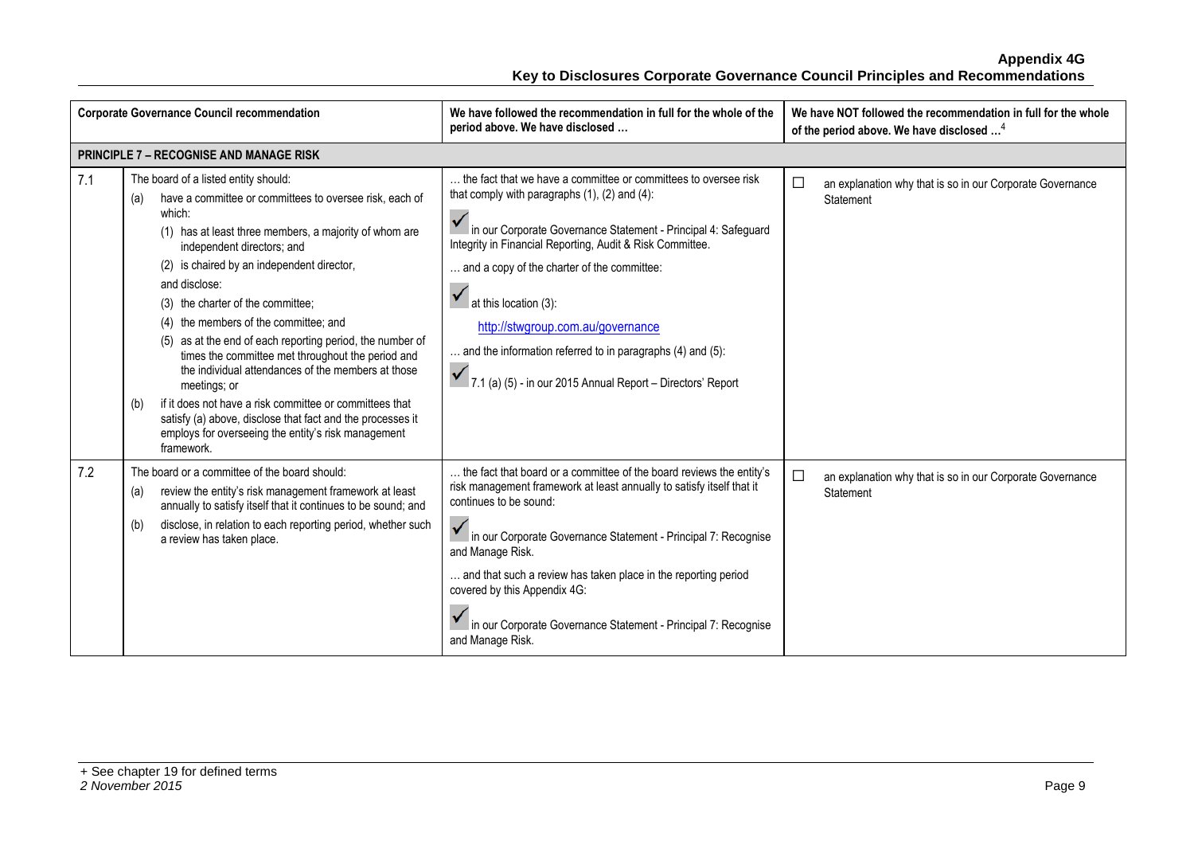|     | <b>Corporate Governance Council recommendation</b>                                                                                                                                                                                                                                                                                                                                                                                                                                                                                                                                                                                                                                                                                                 | We have followed the recommendation in full for the whole of the<br>period above. We have disclosed                                                                                                                                                                                                                                                                                                                                                                                               | We have NOT followed the recommendation in full for the whole<br>of the period above. We have disclosed <sup>4</sup> |
|-----|----------------------------------------------------------------------------------------------------------------------------------------------------------------------------------------------------------------------------------------------------------------------------------------------------------------------------------------------------------------------------------------------------------------------------------------------------------------------------------------------------------------------------------------------------------------------------------------------------------------------------------------------------------------------------------------------------------------------------------------------------|---------------------------------------------------------------------------------------------------------------------------------------------------------------------------------------------------------------------------------------------------------------------------------------------------------------------------------------------------------------------------------------------------------------------------------------------------------------------------------------------------|----------------------------------------------------------------------------------------------------------------------|
|     | <b>PRINCIPLE 7 - RECOGNISE AND MANAGE RISK</b>                                                                                                                                                                                                                                                                                                                                                                                                                                                                                                                                                                                                                                                                                                     |                                                                                                                                                                                                                                                                                                                                                                                                                                                                                                   |                                                                                                                      |
| 7.1 | The board of a listed entity should:<br>have a committee or committees to oversee risk, each of<br>(a)<br>which:<br>(1) has at least three members, a majority of whom are<br>independent directors; and<br>(2) is chaired by an independent director,<br>and disclose:<br>(3) the charter of the committee;<br>(4) the members of the committee; and<br>(5) as at the end of each reporting period, the number of<br>times the committee met throughout the period and<br>the individual attendances of the members at those<br>meetings; or<br>if it does not have a risk committee or committees that<br>(b)<br>satisfy (a) above, disclose that fact and the processes it<br>employs for overseeing the entity's risk management<br>framework. | the fact that we have a committee or committees to oversee risk<br>that comply with paragraphs $(1)$ , $(2)$ and $(4)$ :<br>in our Corporate Governance Statement - Principal 4: Safeguard<br>Integrity in Financial Reporting, Audit & Risk Committee.<br>and a copy of the charter of the committee:<br>at this location (3):<br>http://stwgroup.com.au/governance<br>and the information referred to in paragraphs (4) and (5):<br>7.1 (a) (5) - in our 2015 Annual Report - Directors' Report | $\Box$<br>an explanation why that is so in our Corporate Governance<br>Statement                                     |
| 7.2 | The board or a committee of the board should:<br>review the entity's risk management framework at least<br>(a)<br>annually to satisfy itself that it continues to be sound; and<br>disclose, in relation to each reporting period, whether such<br>(b)<br>a review has taken place.                                                                                                                                                                                                                                                                                                                                                                                                                                                                | the fact that board or a committee of the board reviews the entity's<br>risk management framework at least annually to satisfy itself that it<br>continues to be sound:<br>in our Corporate Governance Statement - Principal 7: Recognise<br>and Manage Risk.<br>and that such a review has taken place in the reporting period<br>covered by this Appendix 4G:<br>in our Corporate Governance Statement - Principal 7: Recognise<br>and Manage Risk.                                             | □<br>an explanation why that is so in our Corporate Governance<br>Statement                                          |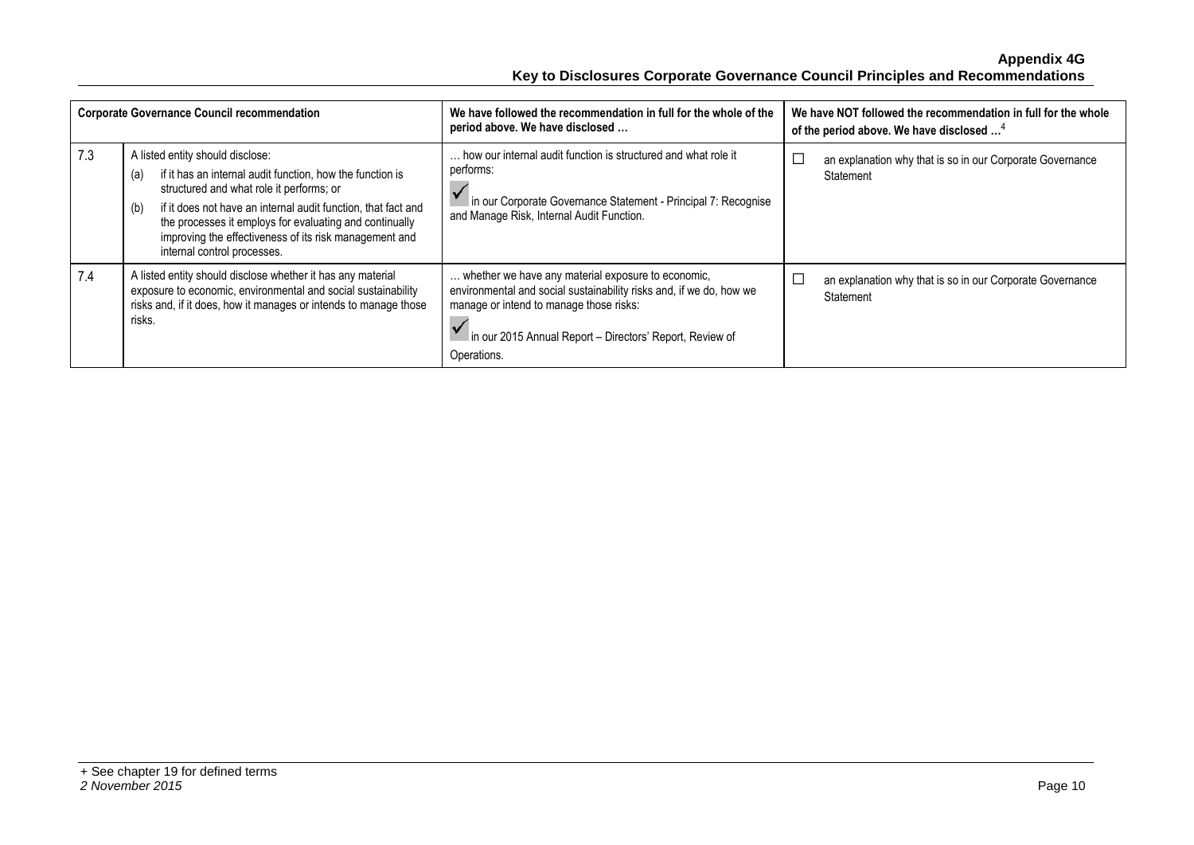| <b>Corporate Governance Council recommendation</b> |                                                                                                                                                                                                                                                                                                                                                                              | We have followed the recommendation in full for the whole of the<br>period above. We have disclosed                                                                                                                                             | We have NOT followed the recommendation in full for the whole<br>of the period above. We have disclosed <sup>4</sup> |  |
|----------------------------------------------------|------------------------------------------------------------------------------------------------------------------------------------------------------------------------------------------------------------------------------------------------------------------------------------------------------------------------------------------------------------------------------|-------------------------------------------------------------------------------------------------------------------------------------------------------------------------------------------------------------------------------------------------|----------------------------------------------------------------------------------------------------------------------|--|
| 7.3                                                | A listed entity should disclose:<br>if it has an internal audit function, how the function is<br>(a)<br>structured and what role it performs; or<br>if it does not have an internal audit function, that fact and<br>(b)<br>the processes it employs for evaluating and continually<br>improving the effectiveness of its risk management and<br>internal control processes. | how our internal audit function is structured and what role it<br>performs:<br>in our Corporate Governance Statement - Principal 7: Recognise<br>and Manage Risk, Internal Audit Function.                                                      | an explanation why that is so in our Corporate Governance<br>Statement                                               |  |
| 7.4                                                | A listed entity should disclose whether it has any material<br>exposure to economic, environmental and social sustainability<br>risks and, if it does, how it manages or intends to manage those<br>risks.                                                                                                                                                                   | whether we have any material exposure to economic,<br>environmental and social sustainability risks and, if we do, how we<br>manage or intend to manage those risks:<br>in our 2015 Annual Report - Directors' Report, Review of<br>Operations. | an explanation why that is so in our Corporate Governance<br>Statement                                               |  |